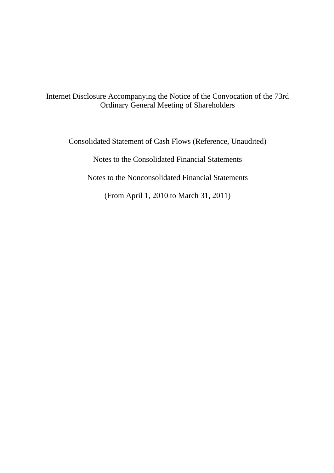Internet Disclosure Accompanying the Notice of the Convocation of the 73rd Ordinary General Meeting of Shareholders

Consolidated Statement of Cash Flows (Reference, Unaudited)

Notes to the Consolidated Financial Statements

Notes to the Nonconsolidated Financial Statements

(From April 1, 2010 to March 31, 2011)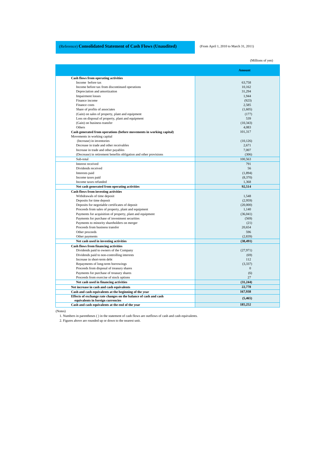# (Reference) **Consolidated Statement of Cash Flows (Unaudited)** (From April 1, 2010 to March 31, 2011)

|                                                                                                      | (Millions of yen) |
|------------------------------------------------------------------------------------------------------|-------------------|
|                                                                                                      | <b>Amount</b>     |
| <b>Cash flows from operating activities</b>                                                          |                   |
| Income before tax                                                                                    | 63,758            |
| Income before tax from discontinued operations                                                       | 10,162            |
| Depreciation and amortization                                                                        | 31,294            |
| <b>Impairment</b> losses                                                                             | 1,944             |
| Finance income                                                                                       | (923)             |
| Finance costs                                                                                        | 2,585             |
| Share of profits of associates                                                                       | (1,605)           |
| (Gain) on sales of property, plant and equipment                                                     | (177)             |
| Loss on disposal of property, plant and equipment                                                    | 539               |
| (Gain) on business transfer                                                                          | (10, 343)         |
| Others                                                                                               | 4,083             |
|                                                                                                      | 101,317           |
| Cash generated from operations (before movements in working capital)<br>Movements in working capital |                   |
| (Increase) in inventories                                                                            | (10, 126)         |
| Decrease in trade and other receivables                                                              | 2,671             |
|                                                                                                      |                   |
| Increase in trade and other payables                                                                 | 7,007             |
| (Decrease) in retirement benefits obligation and other provisions                                    | (306)             |
| Sub-total                                                                                            | 100,563           |
| Interest received                                                                                    | 791               |
| Dividends received                                                                                   | 56                |
| Interests paid                                                                                       | (1,894)           |
| Income taxes paid                                                                                    | (8,370)           |
| Income taxes refunded                                                                                | 1,368             |
| Net cash generated from operating activities                                                         | 92,514            |
| <b>Cash flows from investing activities</b>                                                          |                   |
| Withdrawals of time deposit                                                                          | 1,548             |
| Deposits for time deposit                                                                            | (2,959)           |
| Deposits for negotiable certificates of deposit                                                      | (20,000)          |
| Proceeds from sales of property, plant and equipment                                                 | 1,140             |
| Payments for acquisition of property, plant and equipment                                            | (36,041)          |
| Payments for purchase of investment securities                                                       | (569)             |
| Payments to minority shareholders on merger                                                          | (21)              |
| Proceeds from business transfer                                                                      | 20,654            |
| Other proceeds                                                                                       | 596               |
| Other payments                                                                                       | (2,839)           |
| Net cash used in investing activities                                                                | (38, 491)         |
| <b>Cash flows from financing activities</b>                                                          |                   |
| Dividends paid to owners of the Company                                                              | (27, 971)         |
| Dividends paid to non-controlling interests                                                          | (69)              |
| Increase in short-term debt                                                                          | 112               |
| Repayments of long-term borrowings                                                                   | (3,337)           |
| Proceeds from disposal of treasury shares                                                            | $\mathbf{0}$      |
| Payments for purchase of treasury shares                                                             | (6)               |
| Proceeds from exercise of stock options                                                              | 27                |
| Net cash used in financing activities                                                                | (31, 244)         |
| Net increase in cash and cash equivalents                                                            | 22,778            |
| Cash and cash equivalents at the beginning of the year                                               | 167,938           |
| Effects of exchange rate changes on the balance of cash and cash                                     | (5, 465)          |
| equivalents in foreign currencies<br>Cash and cash equivalents at the end of the year                | 185,252           |
|                                                                                                      |                   |

(Notes)

1. Numbers in parentheses ( ) in the statement of cash flows are outflows of cash and cash equivalents.

2. Figures above are rounded up or down to the nearest unit.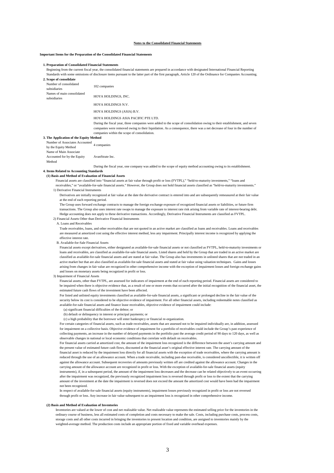#### **Notes to the Consolidated Financial Statements**

#### **Important Items for the Preparation of the Consolidated Financial Statements**

# **1. Preparation of Consolidated Financial Statements**

Beginning from the current fiscal year, the consolidated financial statements are prepared in accordance with designated International Financial Reporting Standards with some omissions of disclosure items pursuant to the latter part of the first paragraph, Article 120 of the Ordinance for Companies Accounting.

# **2. Scope of consolidate** Number of consolidated Number of consolidated 102 companies<br>subsidiaries Names of main consolidated subsidiaries HOYA HOLDINGS, INC. HOYA HOLDINGS N.V. HOYA HOLDINGS (ASIA) B.V. HOYA HOLDINGS ASIA PACIFIC PTE LTD. During the fiscal year, three companies were added to the scope of consolidation owing to their establishment, and seven companies were removed owing to their liquidation. As a consequence, there was a net decrease of four in the number of companies within the scope of consolidation. **3. The Application of the Equity Method** Number of Associates Accounted 4 companies<br>by the Equity Method Name of Main Associate Accounted for by the Equity AvanStrate Inc.

Method During the fiscal year, one company was added to the scope of equity method accounting owing to its establishment.

#### **4. Items Related to Accounting Standards**

#### **(1) Basis and Method of Evaluation of Financial Assets**

Financial assets are classified into "financial assets at fair value through profit or loss (FVTPL)," "held-to-maturity investments," "loans and

# receivables," or "available-for-sale financial assets." However, the Group does not hold financial assets classified as "held-to-maturity investments." 1) Derivative Financial Instruments

Derivatives are initially recognized at fair value at the date the derivative contract is entered into and are subsequently remeasured at their fair value at the end of each reporting period.

The Group uses forward exchange contracts to manage the foreign exchange exposure of recognized financial assets or liabilities, or future firm transactions. The Group also uses interest rate swaps to manage the exposure to interest rate risk arising from variable rate of interest-bearing debt. Hedge accounting does not apply to these derivative transactions. Accordingly, Derivative Financial Instruments are classified as FVTPL. 2) Financial Assets Other than Derivative Financial Instruments

#### A. Loans and Receivables

Trade receivables, loans, and other receivables that are not quoted in an active market are classified as loans and receivables. Loans and receivables are measured at amortized cost using the effective interest method, less any impairment. Principally interest income is recognized by applying the effective interest rate.

B. Available-for-Sale Financial Assets

Financial assets except derivatives, either designated as available-for-sale financial assets or not classified as FVTPL, held-to-maturity investments or loans and receivables, are classified as available-for-sale financial assets. Listed shares and held by the Group that are traded in an active market are classified as available-for-sale financial assets and are stated at fair value. The Group also has investments in unlisted shares that are not traded in an active market but that are also classified as available-for-sale financial assets and stated at fair value using valuation techniques. Gains and losses arising from changes in fair value are recognized in other comprehensive income with the exception of impairment losses and foreign exchange gains and losses on monetary assets being recognized in profit or loss.

#### 3) Impairment of Financial Assets

Financial assets, other than FVTPL, are assessed for indicators of impairment at the end of each reporting period. Financial assets are considered to be impaired when there is objective evidence that, as a result of one or more events that occurred after the initial recognition of the financial asset, the estimated future cash flows of the investment have been affected.

For listed and unlisted equity investments classified as available-for-sale financial assets, a significant or prolonged decline in the fair value of the security below its cost is considered to be objective evidence of impairment. For all other financial assets, including redeemable notes classified as available-for-sale financial assets and finance lease receivables, objective evidence of impairment could include:

# (a) significant financial difficulties of the debtor; or

(b) default or delinquency in interest or principal payments; or

(c) a high probability that the borrower will enter bankruptcy or financial re-organization.

For certain categories of financial assets, such as trade receivables, assets that are assessed not to be impaired individually are, in addition, assessed for impairment on a collective basis. Objective evidence of impairment for a portfolio of receivables could include the Group's past experience of collecting payments, an increase in the number of delayed payments in the portfolio past the average credit period of 90 days to 120 days, as well as observable changes in national or local economic conditions that correlate with default on receivables.

For financial assets carried at amortized cost, the amount of the impairment loss recognized is the difference between the asset's carrying amount and the present value of estimated future cash flows, discounted at the financial asset's original effective interest rate. The carrying amount of the financial asset is reduced by the impairment loss directly for all financial assets with the exception of trade receivables, where the carrying amount is reduced through the use of an allowance account. When a trade receivable, including past-due receivable, is considered uncollectible, it is written off against the allowance account. Subsequent recoveries of amounts previously written off are credited against the allowance account. Changes in the carrying amount of the allowance account are recognized in profit or loss. With the exception of available-for-sale financial assets (equity instruments), if, in a subsequent period, the amount of the impairment loss decreases and the decrease can be related objectively to an event occurring after the impairment was recognized, the previously recognized impairment loss is reversed through profit or loss to the extent that the carrying amount of the investment at the date the impairment is reversed does not exceed the amount the amortized cost would have been had the impairment not been recognized.

In respect of available-for-sale financial assets (equity instruments), impairment losses previously recognized in profit or loss are not reversed through profit or loss. Any increase in fair value subsequent to an impairment loss is recognized in other comprehensive income.

#### **(2) Basis and Method of Evaluation of Inventories**

Inventories are valued at the lower of cost and net realizable value. Net realizable value represents the estimated selling price for the inventories in the ordinary course of business, less all estimated costs of completion and costs necessary to make the sale. Costs, including purchase costs, process costs, storage costs and all other costs incurred in bringing the inventories to present location and condition, are assigned to inventories mainly by the weighted-average method. The production costs include an appropriate portion of fixed and variable overhead expenses.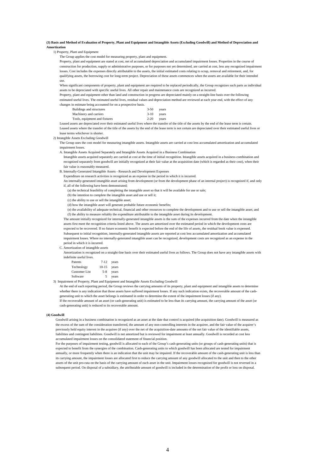## **(3) Basis and Method of Evaluation of Property, Plant and Equipment and Intangible Assets (Excluding Goodwill) and Method of Depreciation and Amortization**

# 1) Property, Plant and Equipment

The Group applies the cost model for measuring property, plant and equipment.

Property, plant and equipment are stated at cost, net of accumulated depreciation and accumulated impairment losses. Properties in the course of construction for production, supply or administrative purposes, or for purposes not yet determined, are carried at cost, less any recognized impairm losses. Cost includes the expenses directly attributable to the assets, the initial estimated costs relating to scrap, removal and retirement, and, for qualifying assets, the borrowing cost for long-term project. Depreciation of these assets commences when the assets are available for their intended use.

When significant components of property, plant and equipment are required to be replaced periodically, the Group recognizes such parts as individual assets to be depreciated with specific useful lives. All other repair and maintenance costs are recognized as incurred.

Property, plant and equipment other than land and construction in progress are depreciated mainly on a straight-line basis over the following estimated useful lives. The estimated useful lives, residual values and depreciation method are reviewed at each year end, with the effect of any

changes in estimate being accounted for on a prospective basis.

| Buildings and structures      | $3 - 50$ | vears |
|-------------------------------|----------|-------|
| Machinery and carriers        | $3-10$   | vears |
| Tools, equipment and fixtures | $2 - 20$ | vears |

Leased assets are depreciated over their estimated useful lives where the transfer of the title of the assets by the end of the lease term is certain. Leased assets where the transfer of the title of the assets by the end of the lease term is not certain are depreciated over their estimated useful lives or lease terms whichever is shorter.

# 2) Intangible Assets Excluding Goodwill

The Group uses the cost model for measuring intangible assets. Intangible assets are carried at cost less accumulated amortization and accumulated impairment losses.

A. Intangible Assets Acquired Separately and Intangible Assets Acquired in a Business Combination

 Intangible assets acquired separately are carried at cost at the time of initial recognition. Intangible assets acquired in a business combination and recognized separately from goodwill are initially recognized at their fair value at the acquisition date (which is regarded as their cost), when their fair value is reasonably measured.

B. Internally-Generated Intangible Assets - Research and Development Expenses

Expenditure on research activities is recognized as an expense in the period in which it is incurred.

 An internally-generated intangible asset arising from development (or from the development phase of an internal project) is recognized if, and only if, all of the following have been demonstrated;

(a) the technical feasibility of completing the intangible asset so that it will be available for use or sale;

(b) the intention to complete the intangible asset and use or sell it;

(c) the ability to use or sell the intangible asset;

(d) how the intangible asset will generate probable future economic benefits;

(e) the availability of adequate technical, financial and other resources to complete the development and to use or sell the intangible asset; and (f) the ability to measure reliably the expenditure attributable to the intangible asset during its development.

The amount initially recognized for internally-generated intangible assets is the sum of the expenses incurred from the date when the intangible assets first meet the recognition criteria listed above. The assets are amortized over the estimated period in which the development costs are expected to be recovered. If no future economic benefit is expected before the end of the life of assets, the residual book value is expensed. Subsequent to initial recognition, internally-generated intangible assets are reported at cost less accumulated amortization and accumulated impairment losses. Where no internally-generated intangible asset can be recognized, development costs are recognized as an expense in the period in which it is incurred.

C. Amortization of intangible assets

Amortization is recognized on a straight-line basis over their estimated useful lives as follows. The Group does not have any intangible assets with indefinite useful lives.

| Patents              | $7 - 12$  | years |
|----------------------|-----------|-------|
| Technology           | $10 - 15$ | years |
| <b>Customer List</b> | $5-8$     | years |
| Software             | 5         | years |

#### 3) Impairment of Property, Plant and Equipment and Intangible Assets Excluding Goodwill

At the end of each reporting period, the Group reviews the carrying amounts of its property, plant and equipment and intangible assets to determine whether there is any indication that those assets have suffered impairment losses. If any such indication exists, the recoverable amount of the cashgenerating unit to which the asset belongs is estimated in order to determine the extent of the impairment losses (if any).

If the recoverable amount of an asset (or cash-generating unit) is estimated to be less than its carrying amount, the carrying amount of the asset (or cash-generating unit) is reduced to its recoverable amount.

## **(4) Goodwill**

Goodwill arising in a business combination is recognized as an asset at the date that control is acquired (the acquisition date). Goodwill is measured as the excess of the sum of the consideration transferred, the amount of any non-controlling interests in the acquiree, and the fair value of the acquirer's previously held equity interest in the acquiree (if any) over the net of the acquisition-date amounts of the net fair value of the identifiable assets, liabilities and contingent liabilities. Goodwill is not amortized but is reviewed for impairment at least annually. Goodwill is recorded at cost less accumulated impairment losses on the consolidated statement of financial position.

For the purposes of impairment testing, goodwill is allocated to each of the Group's cash-generating units (or groups of cash-generating units) that is expected to benefit from the synergies of the combination. Cash-generating units to which goodwill has been allocated are tested for impairment annually, or more frequently when there is an indication that the unit may be impaired. If the recoverable amount of the cash-generating unit is less than its carrying amount, the impairment losses are allocated first to reduce the carrying amount of any goodwill allocated to the unit and then to the other assets of the unit pro-rata on the basis of the carrying amount of each asset in the unit. Impairment losses recognized for goodwill is not reversed in a subsequent period. On disposal of a subsidiary, the attributable amount of goodwill is included in the determination of the profit or loss on disposal.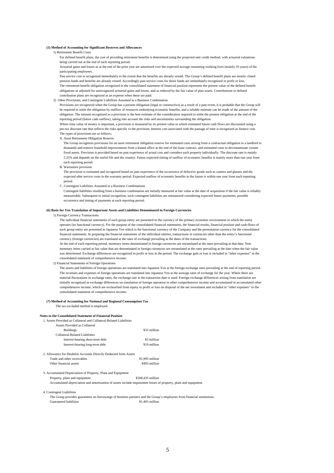# **(5) Method of Accounting for Significant Reserves and Allowances**

# 1) Retirement Benefit Costs

For defined benefit plans, the cost of providing retirement benefits is determined using the projected unit credit method, with actuarial valuations being carried out at the end of each reporting period.

Actuarial gains and losses as at the end of the prior year are amortized over the expected average remaining working lives (mainly 10 years) of the participating employees.

Past service cost is recognized immediately to the extent that the benefits are already vested. The Group's defined benefit plans are mostly closed pension funds and benefits are already vested. Accordingly past service costs for those funds are immediately recognized in profit or loss. The retirement benefit obligation recognized in the consolidated statement of financial position represents the present value of the defined benefit obligations as adjusted for unrecognized actuarial gains and losses, and as reduced by the fair value of plan assets. Contributions to defined contribution plans are recognized as an expense when these are paid.

#### 2) Other Provisions, and Contingent Liabilities Assumed in a Business Combination

Provisions are recognized when the Group has a present obligation (legal or constructive) as a result of a past event, it is probable that the Group will be required to settle the obligation by outflow of resources embodying economic benefits, and a reliable estimate can be made of the amount of the obligation. The amount recognized as a provision is the best estimate of the consideration required to settle the present obligation at the end of the reporting period (future cash outflow), taking into account the risks and uncertainties surrounding the obligation.

Where time value of money is important, a provision is measured by its present value to which estimated future cash flows are discounted using a pre-tax discount rate that reflects the risks specific to the provision. Interest cost associated with the passage of time is recognized as finance cost. The types of provisions are as follows;

A. Asset Retirement Obligation Reserve

 The Group recognizes provisions for an asset retirement obligation reserve for estimated costs arising from a contractual obligation to a landlord to dismantle and remove leasehold improvements from a leased office at the end of the lease contract, and estimated costs to decontaminate certain fixed assets. Provision is provided based on past experience of actual cost and considers each property individually. The discount rate is mainly 2.25% and depends on the useful life and the country. Future expected timing of outflow of economic benefits is mainly more than one year from each reporting period.

#### B. Warranties provision

The provision is estimated and recognized based on past experience of the occurrence of defective goods such as camera and glasses and the expected after service costs in the warranty period. Expected outflow of economic benefits in the future is within one year from each reporting period.

### C. Contingent Liabilities Assumed in a Business Combinations

Contingent liabilities resulting from a business combination are initially measured at fair value at the date of acquisition if the fair value is reliably measureable. Subsequent to initial recognition, such contingent liabilities are remeasured considering expected future payments, possible occurrence and timing of payments at each reporting period.

#### **(6) Basis for Yen Translation of Important Assets and Liabilities Denominated in Foreign Currencies**

#### 1) Foreign Currency Transactions

The individual financial statements of each group entity are presented in the currency of the primary economic environment in which the entity operates (its functional currency). For the purpose of the consolidated financial statements, the financial results, financial position and cash-flows of each group entity are presented in Japanese Yen which is the functional currency of the Company and the presentation currency for the consolidated financial statements. In preparing the financial statements of the individual entities, transactions in currencies other than the entity's functional currency (foreign currencies) are translated at the rates of exchange prevailing at the dates of the transactions.

At the end of each reporting period, monetary items denominated in foreign currencies are retranslated at the rates prevailing at that date. Nonmonetary items carried at fair value that are denominated in foreign currencies are retranslated at the rates prevailing at the date when the fair value was determined. Exchange differences are recognized in profit or loss in the period. The exchange gain or loss is included in "other expenses" in the consolidated statement of comprehensive income. 2) Financial Statements of Foreign Operations

The assets and liabilities of foreign operations are translated into Japanese Yen at the foreign exchange rates prevailing at the end of reporting period. The revenues and expenses of foreign operations are translated into Japanese Yen at the average rates of exchange for the year. Where there are material fluctuations in exchange rates, the exchange rate at the transaction date is used. Foreign exchange differences arising from translation are initially recognized as exchange differences on translation of foreign operation in other comprehensive income and accumulated in accumulated other comprehensive income, which are reclassified from equity to profit or loss on disposal of the net investment and included in "other expenses" in the consolidated statement of comprehensive income.

#### **(7) Method of Accounting for National and Regional Consumption Tax**

The tax-excluded method is employed.

### **Notes to the Consolidated Statement of Financial Position**

#### 1. Assets Provided as Collateral and Collateral-Related Liabilities

| Assets Provided as Collateral                                    |                                                                                                                |
|------------------------------------------------------------------|----------------------------------------------------------------------------------------------------------------|
| <b>Buildings</b>                                                 | ¥32 million                                                                                                    |
| Collateral-Related Liabilities                                   |                                                                                                                |
| Interest-bearing short-term debt                                 | ¥3 million                                                                                                     |
| Interest-bearing long-term debt                                  | ¥19 million                                                                                                    |
| 2. Allowance for Doubtful Accounts Directly Deducted from Assets |                                                                                                                |
| Trade and other receivables                                      | $¥1.995$ million                                                                                               |
| Other financial assets                                           | ¥493 million                                                                                                   |
| 3. Accumulated Depreciation of Property, Plant and Equipment     |                                                                                                                |
| Property, plant and equipment                                    | $4268.435$ million                                                                                             |
|                                                                  | Accumulated depreciation and amortization of assets include impairment losses of property, plant and equipment |
| 4. Contingent Liabilities                                        |                                                                                                                |
|                                                                  |                                                                                                                |

The Group provides guarantees on borrowings of business partners and the Group's employees from financial institutions. Guaranteed liabilities  $\frac{41,405 \text{ million}}{41,405 \text{ million}}$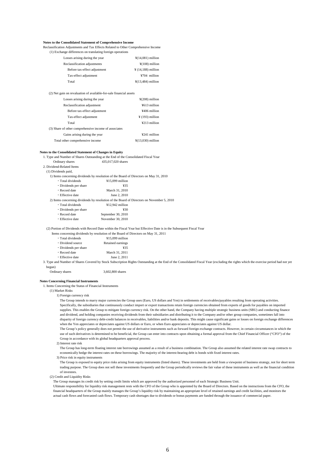### **Notes to the Consolidated Statement of Comprehensive Income**

Reclassification Adjustments and Tax Effects Related to Other Comprehensive Income (1) Exchange differences on translating foreign operations

| Losses arising during the year                                     | $\frac{1}{2}(14,081)$ million  |
|--------------------------------------------------------------------|--------------------------------|
| Reclassification adjustments                                       | $\frac{1}{2}(108)$ million     |
| Before tax-effect adjustment                                       | $\frac{1}{2}$ (14,188) million |
| Tax-effect adjustment                                              | ¥704 million                   |
| Total                                                              | $\frac{1}{2}(13,484)$ million  |
|                                                                    |                                |
| (2) Net gain on revaluation of available-for-sale financial assets |                                |
| Losses arising during the year                                     | $\frac{1}{2}(208)$ million     |
| Reclassification adjustment                                        | ¥613 million                   |
| Before tax-effect adjustment                                       | ¥406 million                   |
| Tax-effect adjustment                                              | $\frac{1}{2}$ (193) million    |
| Total                                                              | ¥213 million                   |
| (3) Share of other comprehensive income of associates              |                                |
| Gains arising during the year                                      | ¥241 million                   |
| Total other comprehensive income                                   | $\frac{1}{2}(13,030)$ million  |
|                                                                    |                                |

# **Notes to the Consolidated Statement of Changes in Equity**

1. Type and Number of Shares Outstanding at the End of the Consolidated Fiscal Year

Ordinary shares 435,017,020 shares 2. Dividend-Related Items

(1) Dividends paid,

1) Items concerning dividends by resolution of the Board of Directors on May 31, 2010

| • Total dividends                                                                         | $¥15.099$ million  |  |
|-------------------------------------------------------------------------------------------|--------------------|--|
| • Dividends per share                                                                     | ¥35                |  |
| • Record date                                                                             | March 31, 2010     |  |
| • Effective date                                                                          | June 2, 2010       |  |
| 2) Items concerning dividends by resolution of the Board of Directors on November 5, 2010 |                    |  |
| • Total dividends                                                                         | $¥12.942$ million  |  |
| • Dividends per share                                                                     | ¥30                |  |
| • Record date                                                                             | September 30, 2010 |  |

・Effective date November 30, 2010

(2) Portion of Dividends with Record Date within the Fiscal Year but Effective Date is in the Subsequent Fiscal Year Items on May 31, 2011

| ms concerning dividends by resolution of the Board of D |                   |
|---------------------------------------------------------|-------------------|
| · Total dividends                                       | $¥15,099$ million |
| • Dividend source                                       | Retained earnings |
| • Dividends per share                                   | ¥35               |
| • Record date                                           | March 31, 2011    |
| • Effective date                                        | June 2, 2011      |

3. Type and Number of Shares Covered by Stock Subscription Rights Outstanding at the End of the Consolidated Fiscal Year (excluding the rights which the exercise period had not yet begun)

| Ordinary shares | 3,602,800 shares |
|-----------------|------------------|
|-----------------|------------------|

# **Notes Concerning Financial Instruments**

1. Items Concerning the Status of Financial Instruments

(1) Market Risks

1) Foreign currency risk

The Group intends to marry major currencies the Group uses (Euro, US dollars and Yen) in settlements of receivables/payables resulting from operating activities. Specifically, the subsidiaries that continuously conduct import or export transactions retain foreign currencies obtained from exports of goods for payables on imported supplies. This enables the Group to mitigate foreign currency risk. On the other hand, the Company having multiple strategic business units (SBU) and conducting finance and dividend, and holding companies receiving dividends from their subsidiaries and distributing it to the Company and/or other group companies, sometimes fall into disparity of foreign currency debt-credit balances in receivables, liabilities and/or bank deposits. This might cause significant gains or losses on foreign exchange differences when the Yen appreciates or depreciates against US dollars or Euro, or when Euro appreciates or depreciates against US dollar.

The Group's policy generally does not permit the use of derivative instruments such as forward foreign exchange contracts. However, in certain circumstances in which the use of such derivatives is determined to be beneficial, the Group can enter into contracts upon obtaining a formal approval from the Chief Financial Officer ("CFO") of the Group in accordance with its global headquarters approval process.

2) Interest rate risk

The Group has long-term floating interest rate borrowings assumed as a result of a business combination. The Group also assumed the related interest rate swap contracts to economically hedge the interest rates on these borrowings. The majority of the interest-bearing debt is bonds with fixed interest rates.

3) Price risk in equity instruments

The Group is exposed to equity price risks arising from equity instruments (listed shares). These investments are held from a viewpoint of business strategy, not for short term trading purpose. The Group does not sell these investments frequently and the Group periodically reviews the fair value of these instruments as well as the financial condition of investees.

(2) Credit and Liquidity Risks

The Group manages its credit risk by setting credit limits which are approved by the authorized personnel of each Strategic Business Unit.

Ultimate responsibility for liquidity risk management rests with the CFO of the Group who is appointed by the Board of Directors. Based on the instructions from the CFO, the financial headquarters of the Group mainly manages the Group's liquidity risk by maintaining an appropriate level of retained earnings and credit facilities, and monitors the actual cash flows and forecasted cash flows. Temporary cash shortages due to dividends or bonus payments are funded through the issuance of commercial paper.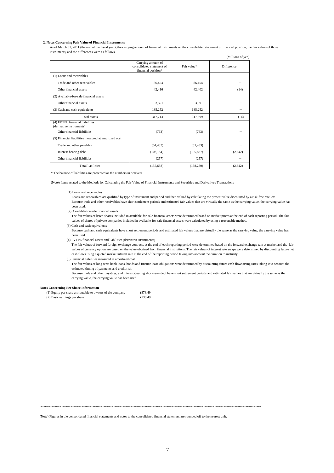# **2. Notes Concerning Fair Value of Financial Instruments**

As of March 31, 2011 (the end of the fiscal year), the carrying amount of financial instruments on the consolidated statement of financial position, the fair values of those instruments, and the differences were as follows.

|                                                             |                                                                        |             | (Millions of yen) |
|-------------------------------------------------------------|------------------------------------------------------------------------|-------------|-------------------|
|                                                             | Carrying amount of<br>consolidated statement of<br>financial position* | Fair value* | Difference        |
| (1) Loans and receivables                                   |                                                                        |             |                   |
| Trade and other receivables                                 | 86,454                                                                 | 86,454      |                   |
| Other financial assets                                      | 42,416                                                                 | 42,402      | (14)              |
| (2) Available-for-sale financial assets                     |                                                                        |             |                   |
| Other financial assets                                      | 3,591                                                                  | 3,591       |                   |
| (3) Cash and cash equivalents                               | 185,252                                                                | 185,252     |                   |
| Total assets                                                | 317,713                                                                | 317,699     | (14)              |
| (4) FVTPL financial liabilities<br>(derivative instruments) |                                                                        |             |                   |
| Other financial liabilities                                 | (763)                                                                  | (763)       |                   |
| (5) Financial liabilities measured at amortized cost        |                                                                        |             |                   |
| Trade and other payables                                    | (51, 433)                                                              | (51, 433)   |                   |
| Interest-bearing debt                                       | (103, 184)                                                             | (105, 827)  | (2,642)           |
| Other financial liabilities                                 | (257)                                                                  | (257)       |                   |
| <b>Total liabilities</b>                                    | (155, 638)                                                             | (158, 280)  | (2,642)           |

\* The balance of liabilities are presented as the numbers in brackets..

(Note) Items related to the Methods for Calculating the Fair Value of Financial Instruments and Securities and Derivatives Transactions

(1) Loans and receivables

Loans and receivables are qualified by type of instrument and period and then valued by calculating the present value discounted by a risk-free rate, etc. Because trade and other receivables have short settlement periods and estimated fair values that are virtually the same as the carrying value, the carrying value has been used.

(2) Available-for-sale financial assets

The fair values of listed shares included in available-for-sale financial assets were determined based on market prices at the end of each reporting period. The fair values of shares of private companies included in available-for-sale financial assets were calculated by using a reasonable method. (3) Cash and cash equivalents

Because cash and cash equivalents have short settlement periods and estimated fair values that are virtually the same as the carrying value, the carrying value has been used.

(4) FVTPL financial assets and liabilities (derivative instruments)

The fair values of forward foreign exchange contracts at the end of each reporting period were determined based on the forward exchange rate at market and the fair values of currency option are based on the value obtained from financial institutions. The fair values of interest rate swaps were determined by discounting future net cash flows using a quoted market interest rate at the end of the reporting period taking into account the duration to maturity.

(5) Financial liabilities measured at amortized cost

The fair values of long-term bank loans, bonds and finance lease obligations were determined by discounting future cash flows using rates taking into account the estimated timing of payments and credit risk.

Because trade and other payables, and interest-bearing short-term debt have short settlement periods and estimated fair values that are virtually the same as the carrying value, the carrying value has been used.

### **Notes Concerning Per Share Information**

| (1) Equity per share attributable to owners of the company | ¥873.49 |
|------------------------------------------------------------|---------|
| (2) Basic earnings per share                               | ¥138.49 |

~~~~~~~~~~~~~~~~~~~~~~~~~~~~~~~~~~~~~~~~~~~~~~~~~~~~~~~~~~~~~~~~~~~~~~~~~~~~~~~~~

(Note) Figures in the consolidated financial statements and notes to the consolidated financial statement are rounded off to the nearest unit.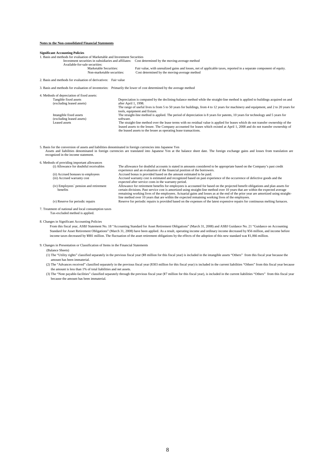# **Notes to the Non-consolidated Financial Statements**

| Notes to the Non-consondated Financial Statements                                                                                                |                      |                                                                                                                                                                                                                                                                                                                                        |
|--------------------------------------------------------------------------------------------------------------------------------------------------|----------------------|----------------------------------------------------------------------------------------------------------------------------------------------------------------------------------------------------------------------------------------------------------------------------------------------------------------------------------------|
| <b>Significant Accounting Policies</b>                                                                                                           |                      |                                                                                                                                                                                                                                                                                                                                        |
| 1. Basis and methods for evaluation of Marketable and Investment Securities                                                                      |                      |                                                                                                                                                                                                                                                                                                                                        |
|                                                                                                                                                  |                      | Investment securities in subsidiaries and affiliates: Cost determined by the moving-average method                                                                                                                                                                                                                                     |
| Available-for-sale securities:                                                                                                                   |                      |                                                                                                                                                                                                                                                                                                                                        |
| Marketable Securities:                                                                                                                           |                      | Fair value, with unrealized gains and losses, net of applicable taxes, reported in a separate component of equity.                                                                                                                                                                                                                     |
| Non-marketable securities:                                                                                                                       |                      | Cost determined by the moving-average method                                                                                                                                                                                                                                                                                           |
| 2. Basis and methods for evaluation of derivatives: Fair value                                                                                   |                      |                                                                                                                                                                                                                                                                                                                                        |
| 3. Basis and methods for evaluation of inventories: Primarily the lower of cost determined by the average method                                 |                      |                                                                                                                                                                                                                                                                                                                                        |
| 4. Methods of depreciation of fixed assets:                                                                                                      |                      |                                                                                                                                                                                                                                                                                                                                        |
| Tangible fixed assets<br>(excluding leased assets)                                                                                               | after April 1, 1998. | Depreciation is computed by the declining-balance method while the straight-line method is applied to buildings acquired on and                                                                                                                                                                                                        |
|                                                                                                                                                  |                      | The range of useful lives is from 5 to 50 years for buildings, from 4 to 12 years for machinery and equipment, and 2 to 20 years for<br>tools, equipment and fixture.                                                                                                                                                                  |
| Intangible fixed assets<br>(excluding leased assets)                                                                                             | software.            | The straight-line method is applied. The period of depreciation is 8 years for patents, 10 years for technology and 5 years for                                                                                                                                                                                                        |
| Leased assets                                                                                                                                    |                      | The straight-line method over the lease terms with no residual value is applied for leases which do not transfer ownership of the<br>leased assets to the lessee. The Company accounted for leases which existed at April 1, 2008 and do not transfer ownership of<br>the leased assets to the lessee as operating lease transactions. |
| 5. Basis for the conversion of assets and liabilities denominated in foreign currencies into Japanese Yen<br>recognized in the income statement. |                      | Assets and liabilities denominated in foreign currencies are translated into Japanese Yen at the balance sheet date. The foreign exchange gains and losses from translation are                                                                                                                                                        |
|                                                                                                                                                  |                      |                                                                                                                                                                                                                                                                                                                                        |
| 6. Methods of providing important allowances<br>(i) Allowance for doubtful receivables                                                           |                      | The allowance for doubtful accounts is stated in amounts considered to be appropriate based on the Company's past credit<br>experience and an evaluation of the financial position of the borrowers.                                                                                                                                   |
| (ii) Accrued bonuses to employees                                                                                                                |                      | Accrued bonus is provided based on the amount estimated to be paid.                                                                                                                                                                                                                                                                    |
| (iii) Accrued warranty cost                                                                                                                      |                      | Accrued warranty cost is estimated and recognized based on past experience of the occurrence of defective goods and the                                                                                                                                                                                                                |
|                                                                                                                                                  |                      | expected after service costs in the warranty period.                                                                                                                                                                                                                                                                                   |
| (iv) Employees' pension and retirement                                                                                                           |                      | Allowance for retirement benefits for employees is accounted for based on the projected benefit obligations and plan assets for                                                                                                                                                                                                        |
| benefits                                                                                                                                         |                      | certain divisions. Past service cost is amortized using straight-line method over 10 years that are within the expected average<br>remaining working lives of the employees. Actuarial gains and losses as at the end of the prior year are amortized using straight-                                                                  |
|                                                                                                                                                  |                      | line method over 10 years that are within the expected remaining working lives of the employees.                                                                                                                                                                                                                                       |
| (v) Reserve for periodic repairs                                                                                                                 |                      | Reserve for periodic repairs is provided based on the expenses of the latest expensive repairs for continuous melting furnaces.                                                                                                                                                                                                        |
| 7. Treatment of national and local consumption taxes<br>Tax-excluded method is applied.                                                          |                      |                                                                                                                                                                                                                                                                                                                                        |

8. Changes in Significant Accounting Policies

From this fiscal year, ASBJ Statement No. 18 "Accounting Standard for Asset Retirement Obligations" (March 31, 2008) and ASBJ Guidance No. 21 "Guidance on Accounting Standard for Asset Retirement Obligations" (March 31, 2008) have been applied. As a result, operating income and ordinary income decreased by ¥56 million, and income before income taxes decreased by ¥881 million. The fluctuation of the asset retirement obligations by the effects of the adoption of this new standard was ¥1,066 million.

9. Changes in Presentation or Classification of Items in the Financial Statements

(Balance Sheets)

- (1) The "Utility rights" classified separately in the previous fiscal year (¥8 million for this fiscal year) is included in the intangible assets "Others" from this fiscal year because the amount has been immaterial.
- (2) The "Advances received" classified separately in the previous fiscal year (¥303 million for this fiscal year) is included in the current liabilities "Others" from this fiscal year because the amount is less than 1% of total liabilities and net assets.
- (3) The "Note payable-facilities" classified separately through the previous fiscal year (¥7 million for this fiscal year), is included in the current liabilities "Others" from this fiscal year because the amount has been immaterial.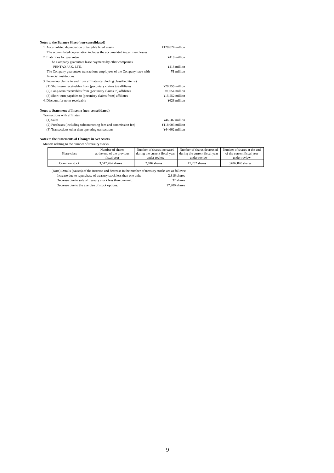# **Notes to the Balance Sheet (non-consolidated)**

| 1. Accumulated depreciation of tangible fixed assets                     | $¥128,824$ million |
|--------------------------------------------------------------------------|--------------------|
| The accumulated depreciation includes the accumulated impairment losses. |                    |
| 2. Liabilities for guarantee                                             | ¥418 million       |
| The Company guarantees lease payments by other companies                 |                    |
| PENTAX U.K. LTD.                                                         | ¥418 million       |
| The Company guarantees transactions employees of the Company have with   | ¥1 million         |
| financial institutions.                                                  |                    |
| 3. Pecuniary claims to and from affiliates (excluding classified items)  |                    |
| (1) Short-term receivables from (pecuniary claims to) affiliates         | $420,255$ million  |
| (2) Long-term receivables from (pecuniary claims to) affiliates          | ¥1.054 million     |
| (3) Short-term payables to (pecuniary claims from) affiliates            | ¥15,552 million    |
| 4. Discount for notes receivable                                         | ¥628 million       |
| <b>Notes to Statement of Income (non-consolidated)</b>                   |                    |
| Transactions with affiliates                                             |                    |
| $(1)$ Sales                                                              | ¥46,587 million    |
| (2) Purchases (including subcontracting fees and commission fee)         | $¥118,003$ million |
| (3) Transactions other than operating transactions                       | $444.602$ million  |

# **Notes to the Statements of Changes in Net Assets**

| Matters relating to the number of treasury stocks |              |                            |                                |                                |                             |
|---------------------------------------------------|--------------|----------------------------|--------------------------------|--------------------------------|-----------------------------|
|                                                   |              | Number of shares           | Number of shares increased     | Number of shares decreased     | Number of shares at the end |
|                                                   | Share class  | at the end of the previous | during the current fiscal year | during the current fiscal year | of the current fiscal year  |
|                                                   |              | fiscal vear                | under review                   | under review                   | under review                |
|                                                   | Common stock | 3.617.264 shares           | $2.816$ shares                 | 17.232 shares                  | 3,602,848 shares            |

(Note) Details (causes) of the increase and decrease in the number of treasury stocks are as follows:

Increase due to repurchase of treasury stock less than one unit: 2,816 shares

| Decrease due to sale of treasury stock less than one unit: | 32 shares     |
|------------------------------------------------------------|---------------|
| Decrease due to the exercise of stock options:             | 17.200 shares |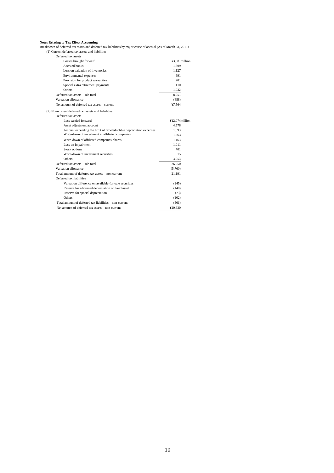**Notes Relating to Tax Effect Accounting** Breakdown of deferred tax assets and deferred tax liabilities by major cause of accrual (As of March 31, 2011) (1) Current deferred tax assets and liabilities

| Deferred tax assets                                                |                |
|--------------------------------------------------------------------|----------------|
| Losses brought forward                                             | ¥3.081 million |
| Accrued bonus                                                      | 1,809          |
| Loss on valuation of inventories                                   | 1,127          |
| Environmental expenses                                             | 691            |
| Provision for product warranties                                   | 201            |
| Special extra retirement payments                                  | 110            |
| Others                                                             | 1,032          |
| Deferred tax assets - sub total                                    | 8,051          |
| Valuation allowance                                                | (488)          |
| Net amount of deferred tax assets - current                        | ¥7,564         |
| (2) Non-current deferred tax assets and liabilities                |                |
| Deferred tax assets                                                |                |
| Loss carried forward                                               | ¥12.074million |
| Asset adjustment account                                           | 4,578          |
| Amount exceeding the limit of tax-deductible depreciation expenses | 1,893          |
| Write-down of investment in affiliated companies                   | 1.563          |
| Write-down of affiliated companies' shares                         | 1,463          |
| Loss on impairment                                                 | 1.011          |
| Stock options                                                      | 701            |
| Write-down of investment securities                                | 615            |
| Others                                                             | 3,053          |
| Deferred tax assets - sub total                                    | 26,950         |
| Valuation allowance                                                | (5,760)        |
| Total amount of deferred tax assets - non current                  | 21,191         |
| Deferred tax liabilities                                           |                |
| Valuation difference on available-for-sale securities              | (245)          |
| Reserve for advanced depreciation of fixed asset                   | (140)          |
| Reserve for special depreciation                                   | (73)           |
| Others                                                             | (102)          |
| Total amount of deferred tax liabilities – non-current             | (561)          |
| Net amount of deferred tax assets - non-current                    | ¥20.630        |